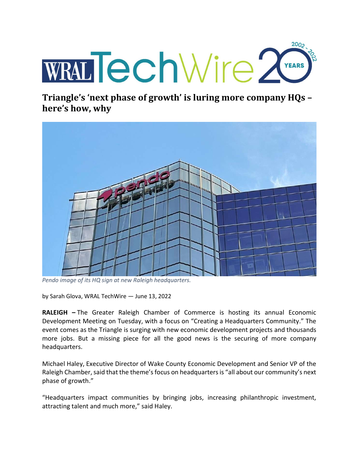

Triangle's 'next phase of growth' is luring more company HQs – here's how, why



Pendo image of its HQ sign at new Raleigh headquarters.

by Sarah Glova, WRAL TechWire — June 13, 2022

RALEIGH – The Greater Raleigh Chamber of Commerce is hosting its annual Economic Development Meeting on Tuesday, with a focus on "Creating a Headquarters Community." The event comes as the Triangle is surging with new economic development projects and thousands more jobs. But a missing piece for all the good news is the securing of more company headquarters.

Michael Haley, Executive Director of Wake County Economic Development and Senior VP of the Raleigh Chamber, said that the theme's focus on headquarters is "all about our community's next phase of growth."

"Headquarters impact communities by bringing jobs, increasing philanthropic investment, attracting talent and much more," said Haley.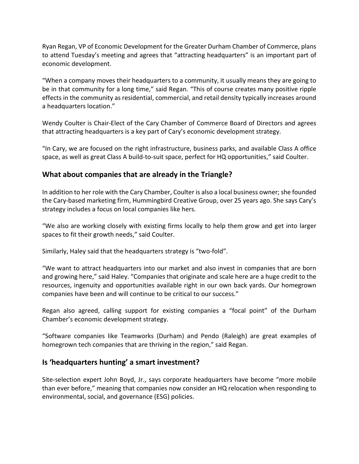Ryan Regan, VP of Economic Development for the Greater Durham Chamber of Commerce, plans to attend Tuesday's meeting and agrees that "attracting headquarters" is an important part of economic development.

"When a company moves their headquarters to a community, it usually means they are going to be in that community for a long time," said Regan. "This of course creates many positive ripple effects in the community as residential, commercial, and retail density typically increases around a headquarters location."

Wendy Coulter is Chair-Elect of the Cary Chamber of Commerce Board of Directors and agrees that attracting headquarters is a key part of Cary's economic development strategy.

"In Cary, we are focused on the right infrastructure, business parks, and available Class A office space, as well as great Class A build-to-suit space, perfect for HQ opportunities," said Coulter.

## What about companies that are already in the Triangle?

In addition to her role with the Cary Chamber, Coulter is also a local business owner; she founded the Cary-based marketing firm, Hummingbird Creative Group, over 25 years ago. She says Cary's strategy includes a focus on local companies like hers.

"We also are working closely with existing firms locally to help them grow and get into larger spaces to fit their growth needs," said Coulter.

Similarly, Haley said that the headquarters strategy is "two-fold".

"We want to attract headquarters into our market and also invest in companies that are born and growing here," said Haley. "Companies that originate and scale here are a huge credit to the resources, ingenuity and opportunities available right in our own back yards. Our homegrown companies have been and will continue to be critical to our success."

Regan also agreed, calling support for existing companies a "focal point" of the Durham Chamber's economic development strategy.

"Software companies like Teamworks (Durham) and Pendo (Raleigh) are great examples of homegrown tech companies that are thriving in the region," said Regan.

## Is 'headquarters hunting' a smart investment?

Site-selection expert John Boyd, Jr., says corporate headquarters have become "more mobile than ever before," meaning that companies now consider an HQ relocation when responding to environmental, social, and governance (ESG) policies.